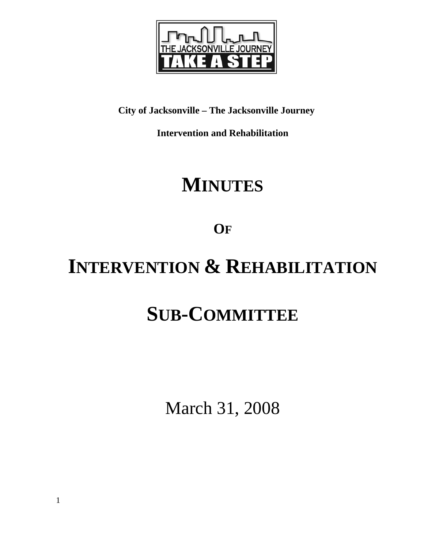

## **City of Jacksonville – The Jacksonville Journey**

**Intervention and Rehabilitation** 

## **MINUTES**

**OF**

# **INTERVENTION & REHABILITATION**

# **SUB-COMMITTEE**

March 31, 2008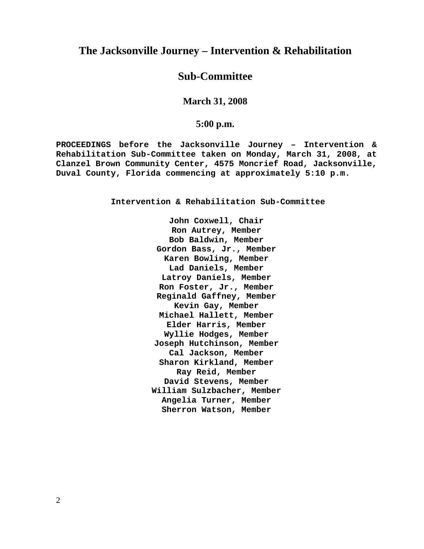#### **The Jacksonville Journey – Intervention & Rehabilitation**

#### **Sub-Committee**

#### **March 31, 2008**

#### **5:00 p.m.**

**PROCEEDINGS before the Jacksonville Journey – Intervention & Rehabilitation Sub-Committee taken on Monday, March 31, 2008, at Clanzel Brown Community Center, 4575 Moncrief Road, Jacksonville, Duval County, Florida commencing at approximately 5:10 p.m.** 

**Intervention & Rehabilitation Sub-Committee** 

**John Coxwell, Chair Ron Autrey, Member Bob Baldwin, Member Gordon Bass, Jr., Member Karen Bowling, Member Lad Daniels, Member Latroy Daniels, Member Ron Foster, Jr., Member Reginald Gaffney, Member Kevin Gay, Member Michael Hallett, Member Elder Harris, Member Wyllie Hodges, Member Joseph Hutchinson, Member Cal Jackson, Member Sharon Kirkland, Member Ray Reid, Member David Stevens, Member William Sulzbacher, Member Angelia Turner, Member Sherron Watson, Member**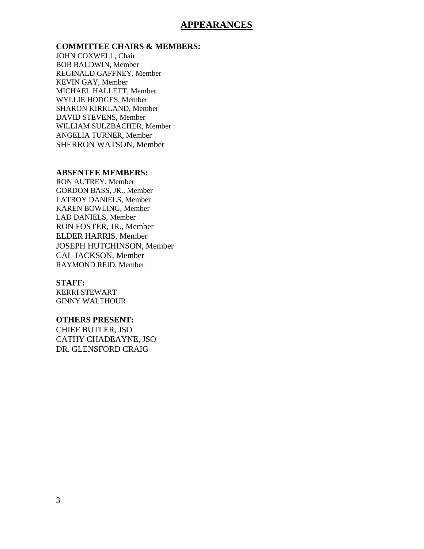#### **APPEARANCES**

#### **COMMITTEE CHAIRS & MEMBERS:**

JOHN COXWELL, Chair BOB BALDWIN, Member REGINALD GAFFNEY, Member KEVIN GAY, Member MICHAEL HALLETT, Member WYLLIE HODGES, Member SHARON KIRKLAND, Member DAVID STEVENS, Member WILLIAM SULZBACHER, Member ANGELIA TURNER, Member SHERRON WATSON, Member

#### **ABSENTEE MEMBERS:**

RON AUTREY, Member GORDON BASS, JR., Member LATROY DANIELS, Member KAREN BOWLING, Member LAD DANIELS, Member RON FOSTER, JR., Member ELDER HARRIS, Member JOSEPH HUTCHINSON, Member CAL JACKSON, Member RAYMOND REID, Member

#### **STAFF:**

KERRI STEWART GINNY WALTHOUR

#### **OTHERS PRESENT:**

CHIEF BUTLER, JSO CATHY CHADEAYNE, JSO DR. GLENSFORD CRAIG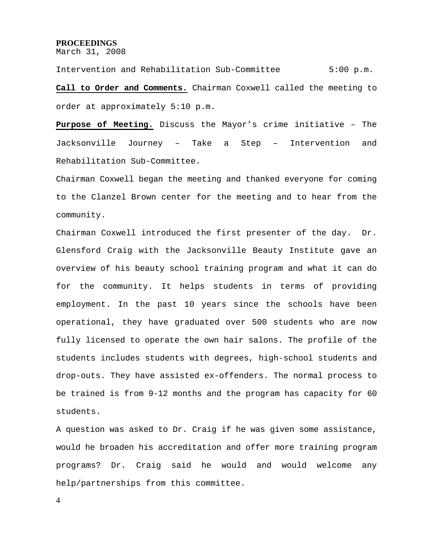#### **PROCEEDINGS**

March 31, 2008

Intervention and Rehabilitation Sub-Committee 5:00 p.m. **Call to Order and Comments.** Chairman Coxwell called the meeting to order at approximately 5:10 p.m.

**Purpose of Meeting.** Discuss the Mayor's crime initiative – The Jacksonville Journey – Take a Step – Intervention and Rehabilitation Sub-Committee.

Chairman Coxwell began the meeting and thanked everyone for coming to the Clanzel Brown center for the meeting and to hear from the community.

Chairman Coxwell introduced the first presenter of the day. Dr. Glensford Craig with the Jacksonville Beauty Institute gave an overview of his beauty school training program and what it can do for the community. It helps students in terms of providing employment. In the past 10 years since the schools have been operational, they have graduated over 500 students who are now fully licensed to operate the own hair salons. The profile of the students includes students with degrees, high-school students and drop-outs. They have assisted ex-offenders. The normal process to be trained is from 9-12 months and the program has capacity for 60 students.

A question was asked to Dr. Craig if he was given some assistance, would he broaden his accreditation and offer more training program programs? Dr. Craig said he would and would welcome any help/partnerships from this committee.

4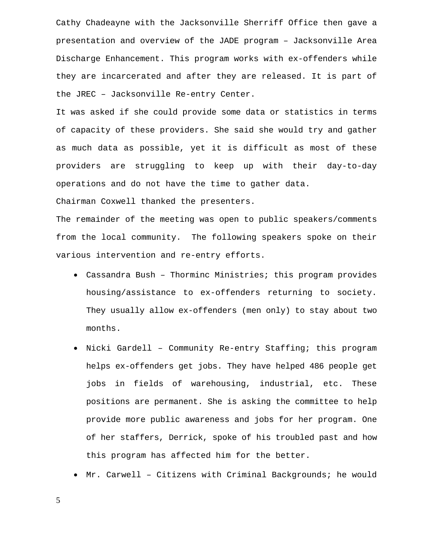Cathy Chadeayne with the Jacksonville Sherriff Office then gave a presentation and overview of the JADE program – Jacksonville Area Discharge Enhancement. This program works with ex-offenders while they are incarcerated and after they are released. It is part of the JREC – Jacksonville Re-entry Center.

It was asked if she could provide some data or statistics in terms of capacity of these providers. She said she would try and gather as much data as possible, yet it is difficult as most of these providers are struggling to keep up with their day-to-day operations and do not have the time to gather data.

Chairman Coxwell thanked the presenters.

The remainder of the meeting was open to public speakers/comments from the local community. The following speakers spoke on their various intervention and re-entry efforts.

- Cassandra Bush Thorminc Ministries; this program provides housing/assistance to ex-offenders returning to society. They usually allow ex-offenders (men only) to stay about two months.
- Nicki Gardell Community Re-entry Staffing; this program helps ex-offenders get jobs. They have helped 486 people get jobs in fields of warehousing, industrial, etc. These positions are permanent. She is asking the committee to help provide more public awareness and jobs for her program. One of her staffers, Derrick, spoke of his troubled past and how this program has affected him for the better.
- Mr. Carwell Citizens with Criminal Backgrounds; he would

5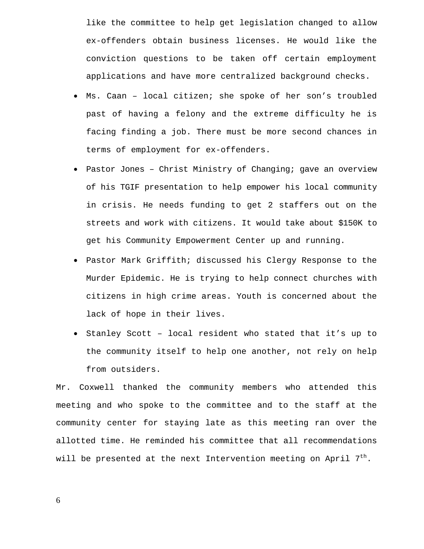like the committee to help get legislation changed to allow ex-offenders obtain business licenses. He would like the conviction questions to be taken off certain employment applications and have more centralized background checks.

- Ms. Caan local citizen; she spoke of her son's troubled past of having a felony and the extreme difficulty he is facing finding a job. There must be more second chances in terms of employment for ex-offenders.
- Pastor Jones Christ Ministry of Changing; gave an overview of his TGIF presentation to help empower his local community in crisis. He needs funding to get 2 staffers out on the streets and work with citizens. It would take about \$150K to get his Community Empowerment Center up and running.
- Pastor Mark Griffith; discussed his Clergy Response to the Murder Epidemic. He is trying to help connect churches with citizens in high crime areas. Youth is concerned about the lack of hope in their lives.
- Stanley Scott local resident who stated that it's up to the community itself to help one another, not rely on help from outsiders.

Mr. Coxwell thanked the community members who attended this meeting and who spoke to the committee and to the staff at the community center for staying late as this meeting ran over the allotted time. He reminded his committee that all recommendations will be presented at the next Intervention meeting on April  $7<sup>th</sup>$ .

6